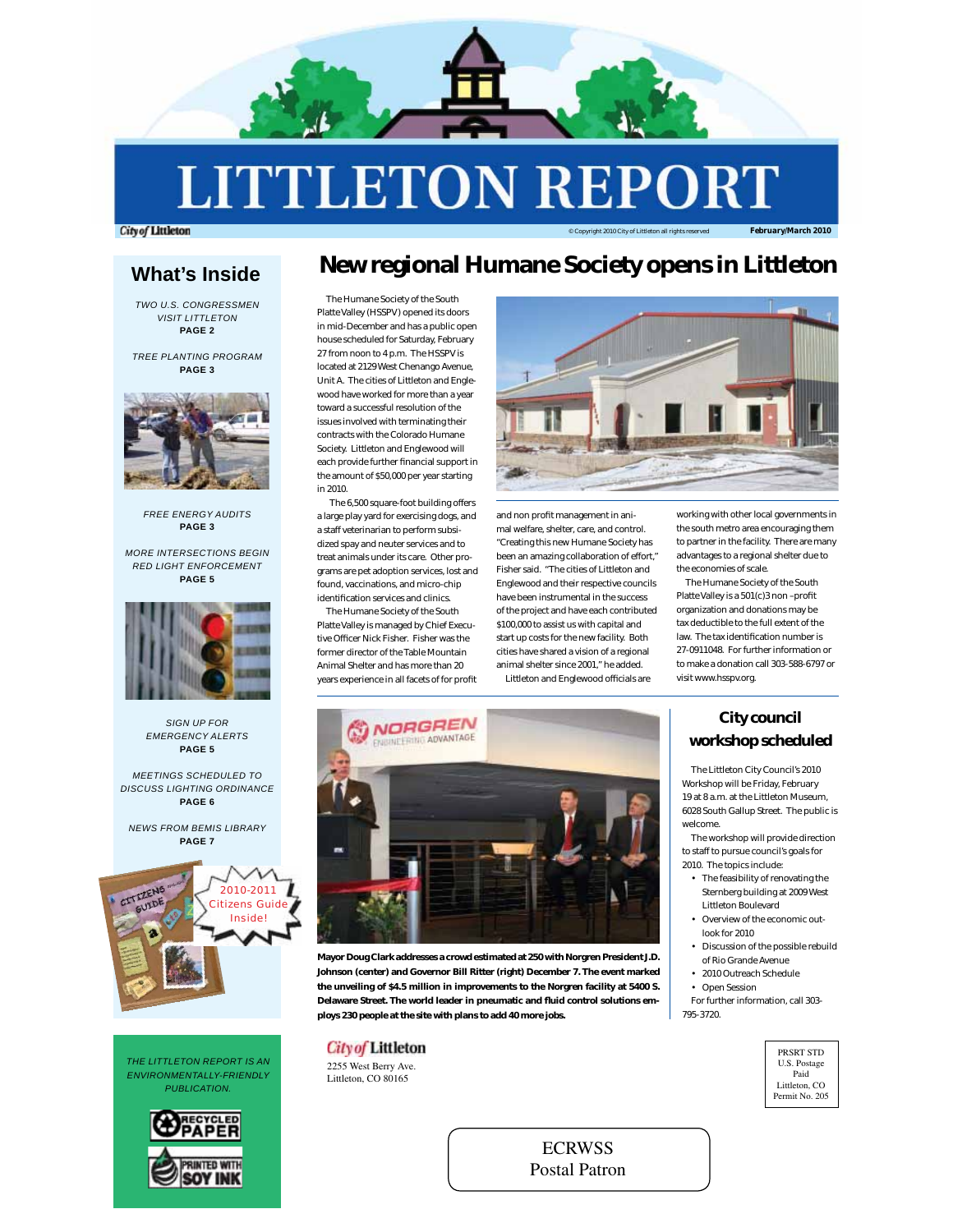

**LITTLETON REP** 

**City of Littleton** 

### © Copyright 2010 City of Littleton all rights reserved *February/March 2010*

# **What's Inside**

*TWO U.S. CONGRESSMEN VISIT LITTLETON* **PAGE 2**

*TREE PLANTING PROGRAM* **PAGE 3**



*FREE ENERGY AUDITS* **PAGE 3**

*MORE INTERSECTIONS BEGIN RED LIGHT ENFORCEMENT* **PAGE 5**



*SIGN UP FOR EMERGENCY ALERTS* **PAGE 5**

*MEETINGS SCHEDULED TO DISCUSS LIGHTING ORDINANCE* **PAGE 6**

*NEWS FROM BEMIS LIBRARY* **PAGE 7**



*THE LITTLETON REPORT IS AN ENVIRONMENTALLY-FRIENDLY PUBLICATION.*



# **New regional Humane Society opens in Littleton**

The Humane Society of the South Platte Valley (HSSPV) opened its doors in mid-December and has a public open house scheduled for Saturday, February 27 from noon to 4 p.m. The HSSPV is located at 2129 West Chenango Avenue, Unit A. The cities of Littleton and Englewood have worked for more than a year toward a successful resolution of the issues involved with terminating their contracts with the Colorado Humane Society. Littleton and Englewood will each provide further financial support in the amount of \$50,000 per year starting in 2010.

 The 6,500 square-foot building offers a large play yard for exercising dogs, and a staff veterinarian to perform subsidized spay and neuter services and to treat animals under its care. Other programs are pet adoption services, lost and found, vaccinations, and micro-chip identification services and clinics

The Humane Society of the South Platte Valley is managed by Chief Executive Officer Nick Fisher. Fisher was the former director of the Table Mountain Animal Shelter and has more than 20 years experience in all facets of for profit



and non profit management in animal welfare, shelter, care, and control. "Creating this new Humane Society has been an amazing collaboration of effort," Fisher said. "The cities of Littleton and Englewood and their respective councils have been instrumental in the success of the project and have each contributed \$100,000 to assist us with capital and start up costs for the new facility. Both cities have shared a vision of a regional animal shelter since 2001," he added. Littleton and Englewood officials are

working with other local governments in the south metro area encouraging them to partner in the facility. There are many advantages to a regional shelter due to the economies of scale.

The Humane Society of the South Platte Valley is a 501(c)3 non-profit organization and donations may be tax deductible to the full extent of the law. The tax identification number is 27-0911048. For further information or to make a donation call 303-588-6797 or visit www.hsspv.org.



**Mayor Doug Clark addresses a crowd estimated at 250 with Norgren President J.D. Johnson (center) and Governor Bill Ritter (right) December 7. The event marked the unveiling of \$4.5 million in improvements to the Norgren facility at 5400 S.**  Delaware Street. The world leader in pneumatic and fluid control solutions em**ploys 230 people at the site with plans to add 40 more jobs.**

# **City of Littleton**

2255 West Berry Ave. Littleton, CO 80165

**City council workshop scheduled**

The Littleton City Council's 2010 Workshop will be Friday, February 19 at 8 a.m. at the Littleton Museum, 6028 South Gallup Street. The public is welcome.

The workshop will provide direction to staff to pursue council's goals for 2010. The topics include:

- The feasibility of renovating the Sternberg building at 2009 West Littleton Boulevard
- Overview of the economic outlook for 2010
- Discussion of the possible rebuild of Rio Grande Avenue
- 2010 Outreach Schedule
- Open Session

For further information, call 303- 795-3720.

> PRSRT STD U.S. Postage Paid Littleton, CO Permit No. 205

**ECRWSS** Postal Patron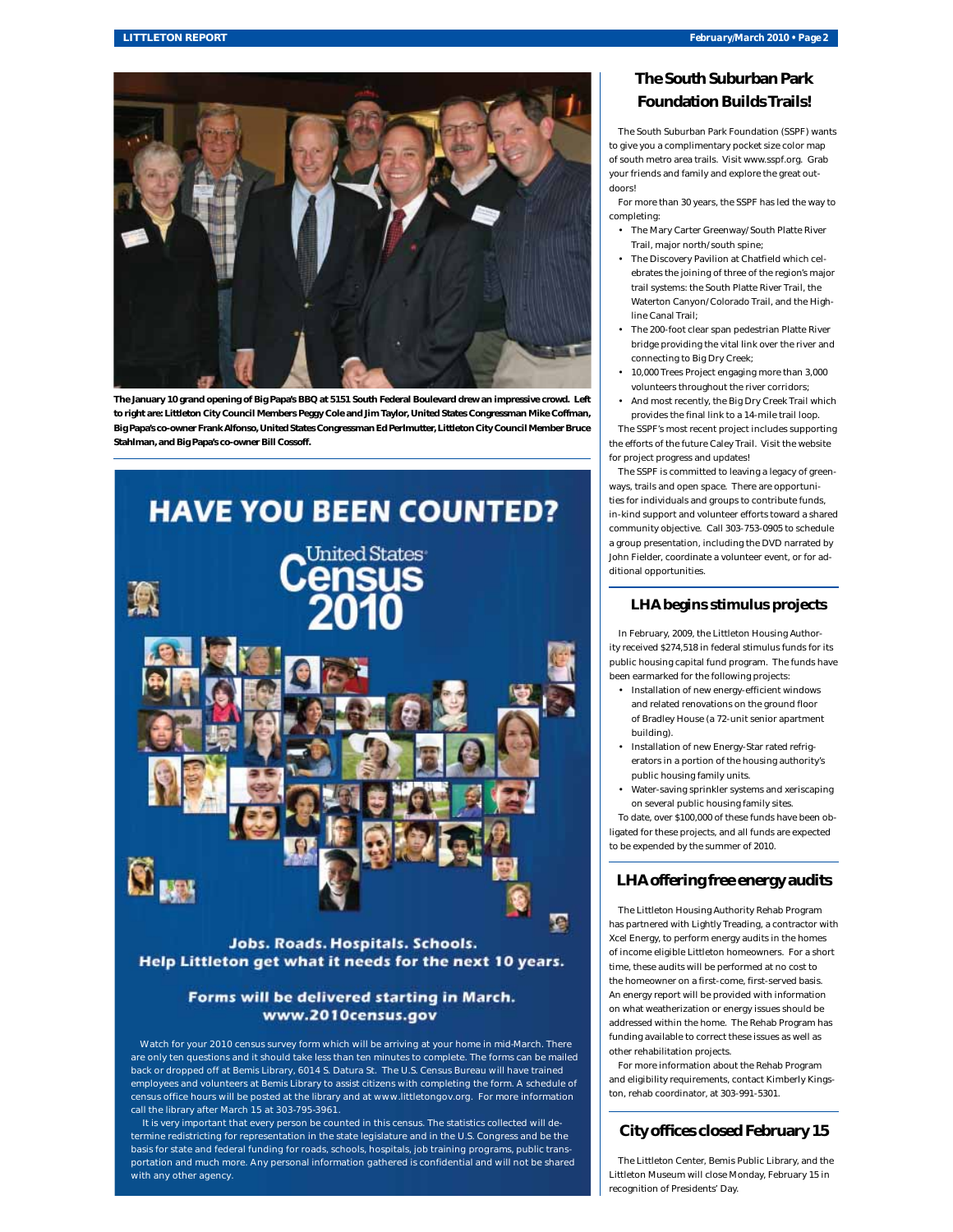

**The January 10 grand opening of Big Papa's BBQ at 5151 South Federal Boulevard drew an impressive crowd. Left to right are: Littleton City Council Members Peggy Cole and Jim Taylor, United States Congressman Mike Coffman, Big Papa's co-owner Frank Alfonso, United States Congressman Ed Perlmutter, Littleton City Council Member Bruce Stahlman, and Big Papa's co-owner Bill Cossoff.** 



# Jobs. Roads. Hospitals. Schools. Help Littleton get what it needs for the next 10 years.

# Forms will be delivered starting in March. www.2010census.gov

Watch for your 2010 census survey form which will be arriving at your home in mid-March. There are only ten questions and it should take less than ten minutes to complete. The forms can be mailed back or dropped off at Bemis Library, 6014 S. Datura St. The U.S. Census Bureau will have trained employees and volunteers at Bemis Library to assist citizens with completing the form. A schedule of census office hours will be posted at the library and at www.littletongov.org. For more information call the library after March 15 at 303-795-3961.

 It is very important that every person be counted in this census. The statistics collected will determine redistricting for representation in the state legislature and in the U.S. Congress and be the basis for state and federal funding for roads, schools, hospitals, job training programs, public transportation and much more. Any personal information gathered is confidential and will not be shared with any other agency.

# **The South Suburban Park Foundation Builds Trails!**

The South Suburban Park Foundation (SSPF) wants to give you a complimentary pocket size color map of south metro area trails. Visit www.sspf.org. Grab your friends and family and explore the great outdoors!

For more than 30 years, the SSPF has led the way to completing:

- The Mary Carter Greenway/South Platte River Trail, major north/south spine;
- The Discovery Pavilion at Chatfield which celebrates the joining of three of the region's major trail systems: the South Platte River Trail, the Waterton Canyon/Colorado Trail, and the Highline Canal Trail;
- The 200-foot clear span pedestrian Platte River bridge providing the vital link over the river and connecting to Big Dry Creek;
- 10,000 Trees Project engaging more than 3,000 volunteers throughout the river corridors;
- And most recently, the Big Dry Creek Trail which provides the final link to a 14-mile trail loop.

The SSPF's most recent project includes supporting the efforts of the future Caley Trail. Visit the website for project progress and updates!

The SSPF is committed to leaving a legacy of greenways, trails and open space. There are opportunities for individuals and groups to contribute funds, in-kind support and volunteer efforts toward a shared community objective. Call 303-753-0905 to schedule a group presentation, including the DVD narrated by John Fielder, coordinate a volunteer event, or for additional opportunities.

# **LHA begins stimulus projects**

In February, 2009, the Littleton Housing Authority received \$274,518 in federal stimulus funds for its public housing capital fund program. The funds have been earmarked for the following projects:

- Installation of new energy-efficient windows and related renovations on the ground floor of Bradley House (a 72-unit senior apartment building).
- Installation of new Energy-Star rated refrigerators in a portion of the housing authority's public housing family units.
- Water-saving sprinkler systems and xeriscaping on several public housing family sites.

To date, over \$100,000 of these funds have been obligated for these projects, and all funds are expected to be expended by the summer of 2010.

# **LHA offering free energy audits**

The Littleton Housing Authority Rehab Program has partnered with Lightly Treading, a contractor with Xcel Energy, to perform energy audits in the homes of income eligible Littleton homeowners. For a short time, these audits will be performed at no cost to the homeowner on a first-come, first-served basis. An energy report will be provided with information on what weatherization or energy issues should be addressed within the home. The Rehab Program has funding available to correct these issues as well as other rehabilitation projects.

For more information about the Rehab Program and eligibility requirements, contact Kimberly Kingston, rehab coordinator, at 303-991-5301.

# **City offices closed February 15**

The Littleton Center, Bemis Public Library, and the Littleton Museum will close Monday, February 15 in recognition of Presidents' Day.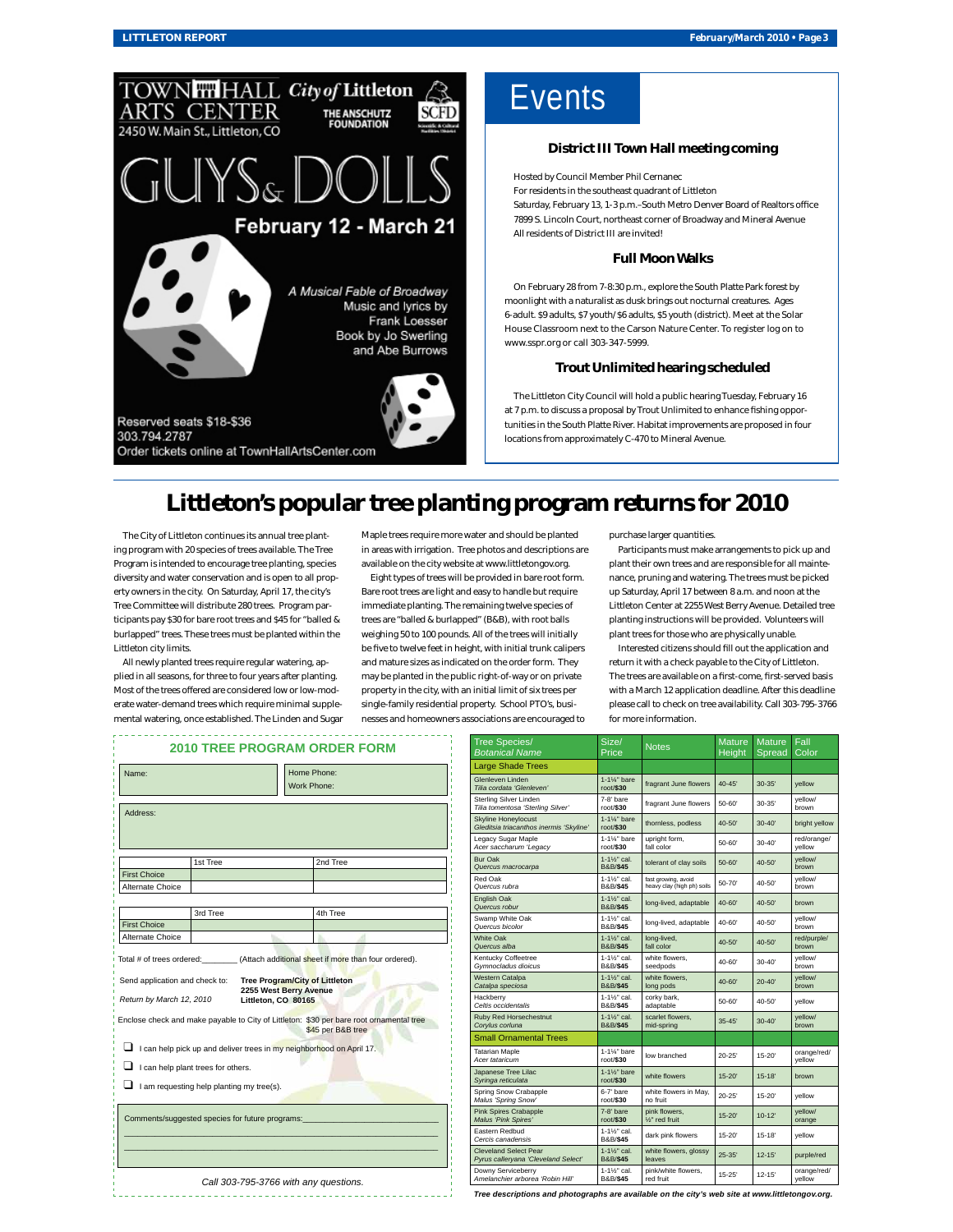

### **LITTLETON REPORT** *February/March 2010 • Page 3*

**Events** 

### **District III Town Hall meeting coming**

Hosted by Council Member Phil Cernanec

For residents in the southeast quadrant of Littleton Saturday, February 13, 1-3 p.m.-South Metro Denver Board of Realtors office 7899 S. Lincoln Court, northeast corner of Broadway and Mineral Avenue All residents of District III are invited!

#### **Full Moon Walks**

On February 28 from 7-8:30 p.m., explore the South Platte Park forest by moonlight with a naturalist as dusk brings out nocturnal creatures. Ages 6-adult. \$9 adults, \$7 youth/\$6 adults, \$5 youth (district). Meet at the Solar House Classroom next to the Carson Nature Center. To register log on to www.sspr.org or call 303-347-5999.

#### **Trout Unlimited hearing scheduled**

The Littleton City Council will hold a public hearing Tuesday, February 16 at 7 p.m. to discuss a proposal by Trout Unlimited to enhance fishing opportunities in the South Platte River. Habitat improvements are proposed in four locations from approximately C-470 to Mineral Avenue.

# **Littleton's popular tree planting program returns for 2010**

The City of Littleton continues its annual tree planting program with 20 species of trees available. The Tree Program is intended to encourage tree planting, species diversity and water conservation and is open to all property owners in the city. On Saturday, April 17, the city's Tree Committee will distribute 280 trees. Program participants pay \$30 for bare root trees and \$45 for "balled & burlapped" trees. These trees must be planted within the Littleton city limits.

All newly planted trees require regular watering, applied in all seasons, for three to four years after planting. Most of the trees offered are considered low or low-moderate water-demand trees which require minimal supplemental watering, once established. The Linden and Sugar Maple trees require more water and should be planted in areas with irrigation. Tree photos and descriptions are available on the city website at www.littletongov.org.

Eight types of trees will be provided in bare root form. Bare root trees are light and easy to handle but require immediate planting. The remaining twelve species of trees are "balled & burlapped" (B&B), with root balls weighing 50 to 100 pounds. All of the trees will initially be five to twelve feet in height, with initial trunk calipers and mature sizes as indicated on the order form. They may be planted in the public right-of-way or on private property in the city, with an initial limit of six trees per single-family residential property. School PTO's, businesses and homeowners associations are encouraged to

purchase larger quantities.

Participants must make arrangements to pick up and plant their own trees and are responsible for all maintenance, pruning and watering. The trees must be picked up Saturday, April 17 between 8 a.m. and noon at the Littleton Center at 2255 West Berry Avenue. Detailed tree planting instructions will be provided. Volunteers will plant trees for those who are physically unable.

Interested citizens should fill out the application and return it with a check payable to the City of Littleton. The trees are available on a first-come, first-served basis with a March 12 application deadline. After this deadline please call to check on tree availability. Call 303-795-3766 for more information.

| Name:                          |                                                  |                                               | Home Phone:                                                                             |
|--------------------------------|--------------------------------------------------|-----------------------------------------------|-----------------------------------------------------------------------------------------|
|                                |                                                  |                                               | Work Phone:                                                                             |
|                                |                                                  |                                               |                                                                                         |
| Address:                       |                                                  |                                               |                                                                                         |
|                                |                                                  |                                               |                                                                                         |
|                                |                                                  |                                               |                                                                                         |
|                                | 1st Tree                                         |                                               | 2nd Tree                                                                                |
| <b>First Choice</b>            |                                                  |                                               |                                                                                         |
| Alternate Choice               |                                                  |                                               |                                                                                         |
|                                |                                                  |                                               |                                                                                         |
|                                | 3rd Tree                                         |                                               | 4th Tree                                                                                |
| <b>First Choice</b>            |                                                  |                                               |                                                                                         |
| Alternate Choice               |                                                  |                                               |                                                                                         |
|                                |                                                  |                                               |                                                                                         |
|                                |                                                  |                                               | Total # of trees ordered: (Attach additional sheet if more than four ordered).          |
| Send application and check to: |                                                  |                                               | <b>Tree Program/City of Littleton</b>                                                   |
| Return by March 12, 2010       |                                                  | 2255 West Berry Avenue<br>Littleton, CO 80165 |                                                                                         |
|                                |                                                  |                                               |                                                                                         |
|                                |                                                  |                                               | Enclose check and make payable to City of Littleton: \$30 per bare root ornamental tree |
|                                |                                                  |                                               | \$45 per B&B tree                                                                       |
|                                |                                                  |                                               | I can help pick up and deliver trees in my neighborhood on April 17.                    |
|                                | I can help plant trees for others.               |                                               |                                                                                         |
|                                |                                                  |                                               |                                                                                         |
|                                | $\Box$ I am requesting help planting my tree(s). |                                               |                                                                                         |
|                                |                                                  |                                               |                                                                                         |
|                                | Comments/suggested species for future programs:  |                                               |                                                                                         |
|                                |                                                  |                                               |                                                                                         |
|                                |                                                  |                                               |                                                                                         |
|                                |                                                  |                                               |                                                                                         |

| Tree Species/<br><b>Botanical Name</b>                                | Size/<br>Price                                   | <b>Notes</b>                                      | <b>Mature</b><br><b>Height</b> | <b>Mature</b><br>Spread | Fall<br>Color         |
|-----------------------------------------------------------------------|--------------------------------------------------|---------------------------------------------------|--------------------------------|-------------------------|-----------------------|
| <b>Large Shade Trees</b>                                              |                                                  |                                                   |                                |                         |                       |
| Glenleven Linden<br>Tilia cordata 'Glenleven'                         | $1-1\frac{1}{4}$ bare<br>root/\$30               | fragrant June flowers                             | $40 - 45'$                     | $30 - 35'$              | vellow                |
| Sterling Silver Linden<br>Tilia tomentosa 'Sterling Silver'           | 7-8' hare<br>$root$ \$30                         | fragrant June flowers                             | 50-60'                         | $30 - 35'$              | vellow/<br>brown      |
| <b>Skyline Honeylocust</b><br>Gleditsia triacanthos inermis 'Skyline' | $1-1\%$ " bare<br>root/\$30                      | thornless, podless                                | $40 - 50'$                     | $30 - 40'$              | bright yellow         |
| Legacy Sugar Maple<br>Acer saccharum 'Legacy                          | 1-1%" hare<br>root/\$30                          | upright form,<br>fall color                       | 50-60'                         | $30 - 40'$              | red/orange/<br>vellow |
| <b>Bur Oak</b><br>Quercus macrocarpa                                  | $1 - 1\%$ cal.<br><b>B&amp;B/\$45</b>            | tolerant of clay soils                            | $50 - 60'$                     | $40 - 50'$              | yellow/<br>brown      |
| Red Oak<br>Quercus rubra                                              | 1-11/ <sub>2</sub> " cal.<br><b>B&amp;B/\$45</b> | fast growing, avoid<br>heavy clay (high ph) soils | 50-70'                         | $40 - 50'$              | vellow/<br>brown      |
| English Oak<br>Quercus robur                                          | $1 - 1\frac{1}{2}$ cal.<br><b>B&amp;B/\$45</b>   | long-lived, adaptable                             | $40 - 60'$                     | $40 - 50'$              | brown                 |
| Swamp White Oak<br>Quercus bicolor                                    | 1-11/ <sub>2</sub> " cal.<br><b>B&amp;B/\$45</b> | long-lived, adaptable                             | $40 - 60'$                     | $40 - 50'$              | vellow/<br>brown      |
| <b>White Oak</b><br>Quercus alba                                      | 1-11/2" cal.<br><b>B&amp;B/\$45</b>              | long-lived,<br>fall color                         | 40-50'                         | 40-50'                  | red/purple/<br>brown  |
| Kentucky Coffeetree<br>Gymnocladus dioicus                            | 1-11/ <sub>2</sub> " cal.<br><b>B&amp;B/\$45</b> | white flowers.<br>seedpods                        | 40-60'                         | $30 - 40'$              | vellow/<br>brown      |
| <b>Western Catalpa</b><br>Catalpa speciosa                            | $1 - 1\frac{1}{2}$ cal.<br><b>B&amp;B/\$45</b>   | white flowers.<br>long pods                       | 40-60'                         | $20 - 40'$              | yellow/<br>brown      |
| Hackberry<br>Celtis occidentalis                                      | 1-1%" cal.<br><b>B&amp;B/\$45</b>                | corky bark,<br>adaptable                          | 50-60'                         | $40 - 50'$              | yellow                |
| <b>Ruby Red Horsechestnut</b><br>Corylus corluna                      | $1 - 1\frac{1}{2}$ cal.<br><b>B&amp;B/\$45</b>   | scarlet flowers,<br>mid-spring                    | $35 - 45'$                     | $30 - 40'$              | vellow/<br>brown      |
| <b>Small Ornamental Trees</b>                                         |                                                  |                                                   |                                |                         |                       |
| <b>Tatarian Maple</b><br>Acer tataricum                               | $1-1\%$ " bare<br>root/\$30                      | low branched                                      | $20 - 25'$                     | $15 - 20'$              | orange/red/<br>vellow |
| Japanese Tree Lilac<br>Syringa reticulata                             | $1-1\frac{1}{2}$ bare<br>root/\$30               | white flowers                                     | $15 - 20'$                     | $15 - 18'$              | brown                 |
| Spring Snow Crabapple<br>Malus 'Spring Snow'                          | 6-7' bare<br>root/\$30                           | white flowers in May,<br>no fruit                 | $20 - 25'$                     | $15 - 20'$              | yellow                |
| <b>Pink Spires Crabapple</b><br><b>Malus 'Pink Spires'</b>            | 7-8' bare<br>$root$ \$30                         | pink flowers.<br>%" red fruit                     | $15 - 20'$                     | $10 - 12'$              | vellow/<br>orange     |
| Eastern Redbud<br>Cercis canadensis                                   | 1-1%" cal.<br><b>B&amp;B/\$45</b>                | dark pink flowers                                 | $15 - 20'$                     | $15 - 18'$              | vellow                |
| <b>Cleveland Select Pear</b><br>Pyrus calleryana 'Cleveland Select'   | $1 - 1\frac{1}{2}$ cal.<br><b>B&amp;B/\$45</b>   | white flowers, glossy<br>leaves                   | $25 - 35'$                     | $12 - 15'$              | purple/red            |
| Downy Serviceberry<br>Amelanchier arborea 'Robin Hill'                | 1-11/ <sub>2</sub> " cal.<br><b>B&amp;B/\$45</b> | pink/white flowers.<br>red fruit                  | $15 - 25'$                     | $12 - 15'$              | orange/red/<br>vellow |

*Tree descriptions and photographs are available on the city's web site at www.littletongov*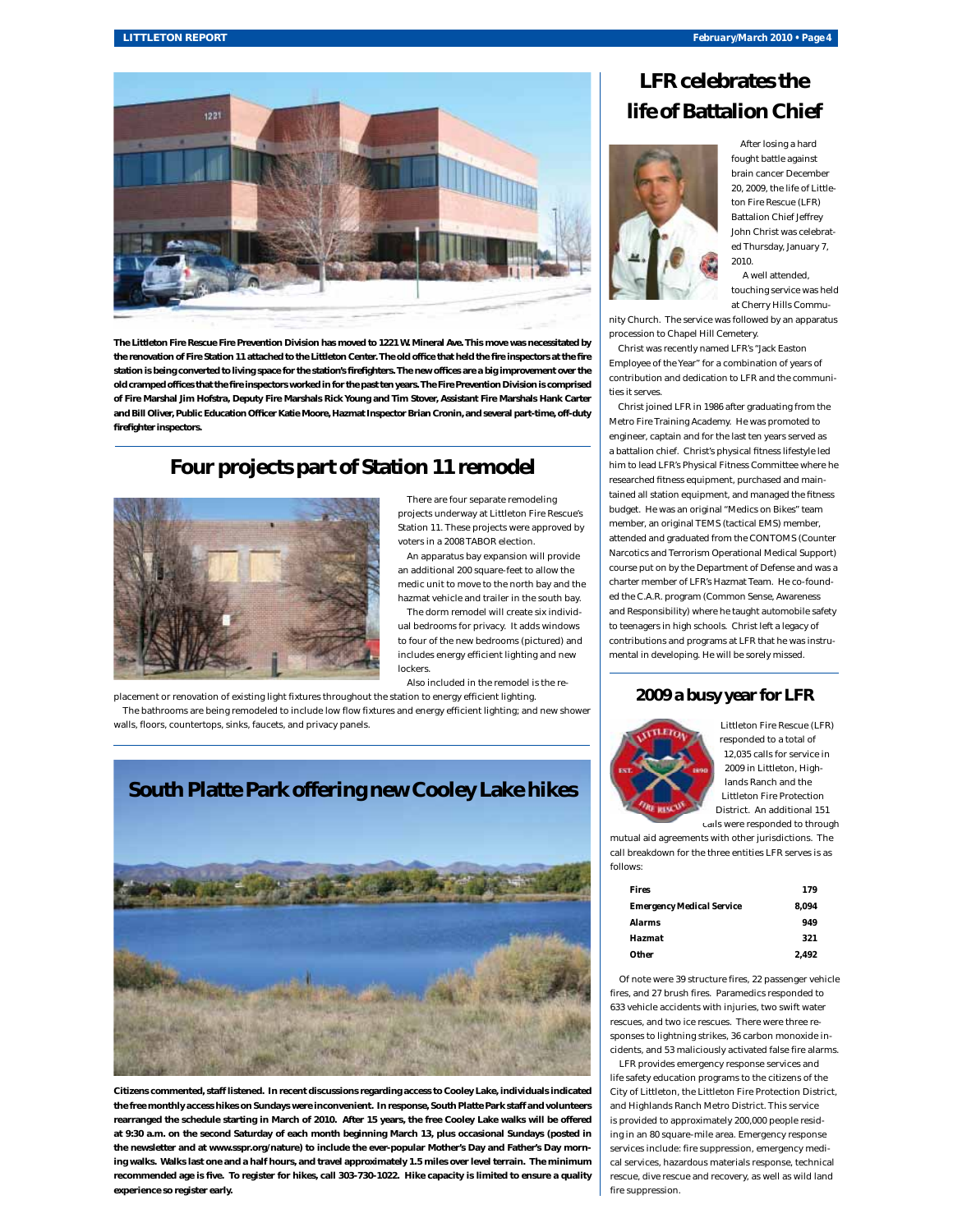

**The Littleton Fire Rescue Fire Prevention Division has moved to 1221 W. Mineral Ave. This move was necessitated by**  the renovation of Fire Station 11 attached to the Littleton Center. The old office that held the fire inspectors at the fire station is being converted to living space for the station's firefighters. The new offices are a big improvement over the old cramped offices that the fire inspectors worked in for the past ten years. The Fire Prevention Division is comprised **of Fire Marshal Jim Hofstra, Deputy Fire Marshals Rick Young and Tim Stover, Assistant Fire Marshals Hank Carter**  and Bill Oliver, Public Education Officer Katie Moore, Hazmat Inspector Brian Cronin, and several part-time, off-duty firefighter inspectors.

# **Four projects part of Station 11 remodel**



There are four separate remodeling projects underway at Littleton Fire Rescue's Station 11. These projects were approved by voters in a 2008 TABOR election.

An apparatus bay expansion will provide an additional 200 square-feet to allow the medic unit to move to the north bay and the hazmat vehicle and trailer in the south bay. The dorm remodel will create six individ-

ual bedrooms for privacy. It adds windows to four of the new bedrooms (pictured) and includes energy efficient lighting and new lockers.

Also included in the remodel is the re-

placement or renovation of existing light fixtures throughout the station to energy efficient lighting. The bathrooms are being remodeled to include low flow fixtures and energy efficient lighting; and new shower walls, floors, countertops, sinks, faucets, and privacy panels.



**Citizens commented, staff listened. In recent discussions regarding access to Cooley Lake, individuals indicated the free monthly access hikes on Sundays were inconvenient. In response, South Platte Park staff and volunteers rearranged the schedule starting in March of 2010. After 15 years, the free Cooley Lake walks will be offered at 9:30 a.m. on the second Saturday of each month beginning March 13, plus occasional Sundays (posted in the newsletter and at www.sspr.org/nature) to include the ever-popular Mother's Day and Father's Day morning walks. Walks last one and a half hours, and travel approximately 1.5 miles over level terrain. The minimum**  recommended age is five. To register for hikes, call 303-730-1022. Hike capacity is limited to ensure a quality **experience so register early.** 





After losing a hard fought battle against brain cancer December 20, 2009, the life of Littleton Fire Rescue (LFR) Battalion Chief Jeffrey John Christ was celebrated Thursday, January 7, 2010.

 A well attended, touching service was held at Cherry Hills Commu-

nity Church. The service was followed by an apparatus procession to Chapel Hill Cemetery.

Christ was recently named LFR's "Jack Easton Employee of the Year" for a combination of years of contribution and dedication to LFR and the communities it serves.

Christ joined LFR in 1986 after graduating from the Metro Fire Training Academy. He was promoted to engineer, captain and for the last ten years served as a battalion chief. Christ's physical fitness lifestyle led him to lead LFR's Physical Fitness Committee where he researched fitness equipment, purchased and maintained all station equipment, and managed the fitness budget. He was an original "Medics on Bikes" team member, an original TEMS (tactical EMS) member, attended and graduated from the CONTOMS (Counter Narcotics and Terrorism Operational Medical Support) course put on by the Department of Defense and was a charter member of LFR's Hazmat Team. He co-founded the C.A.R. program (Common Sense, Awareness and Responsibility) where he taught automobile safety to teenagers in high schools. Christ left a legacy of contributions and programs at LFR that he was instrumental in developing. He will be sorely missed.

### **2009 a busy year for LFR**



Littleton Fire Rescue (LFR) responded to a total of 12,035 calls for service in 2009 in Littleton, Highlands Ranch and the Littleton Fire Protection District. An additional 151

calls were responded to through mutual aid agreements with other jurisdictions. The call breakdown for the three entities LFR serves is as follows:

| Fires                            | 179   |
|----------------------------------|-------|
| <b>Emergency Medical Service</b> | 8.094 |
| Alarms                           | 949   |
| Hazmat                           | 321   |
| <i><b>Other</b></i>              | 2.492 |

Of note were 39 structure fires, 22 passenger vehicle fires, and 27 brush fires. Paramedics responded to 633 vehicle accidents with injuries, two swift water rescues, and two ice rescues. There were three responses to lightning strikes, 36 carbon monoxide incidents, and 53 maliciously activated false fire alarms.

LFR provides emergency response services and life safety education programs to the citizens of the City of Littleton, the Littleton Fire Protection District, and Highlands Ranch Metro District. This service is provided to approximately 200,000 people residing in an 80 square-mile area. Emergency response services include: fire suppression, emergency medical services, hazardous materials response, technical rescue, dive rescue and recovery, as well as wild land fire suppression.

# **South Platte Park offering new Cooley Lake hikes**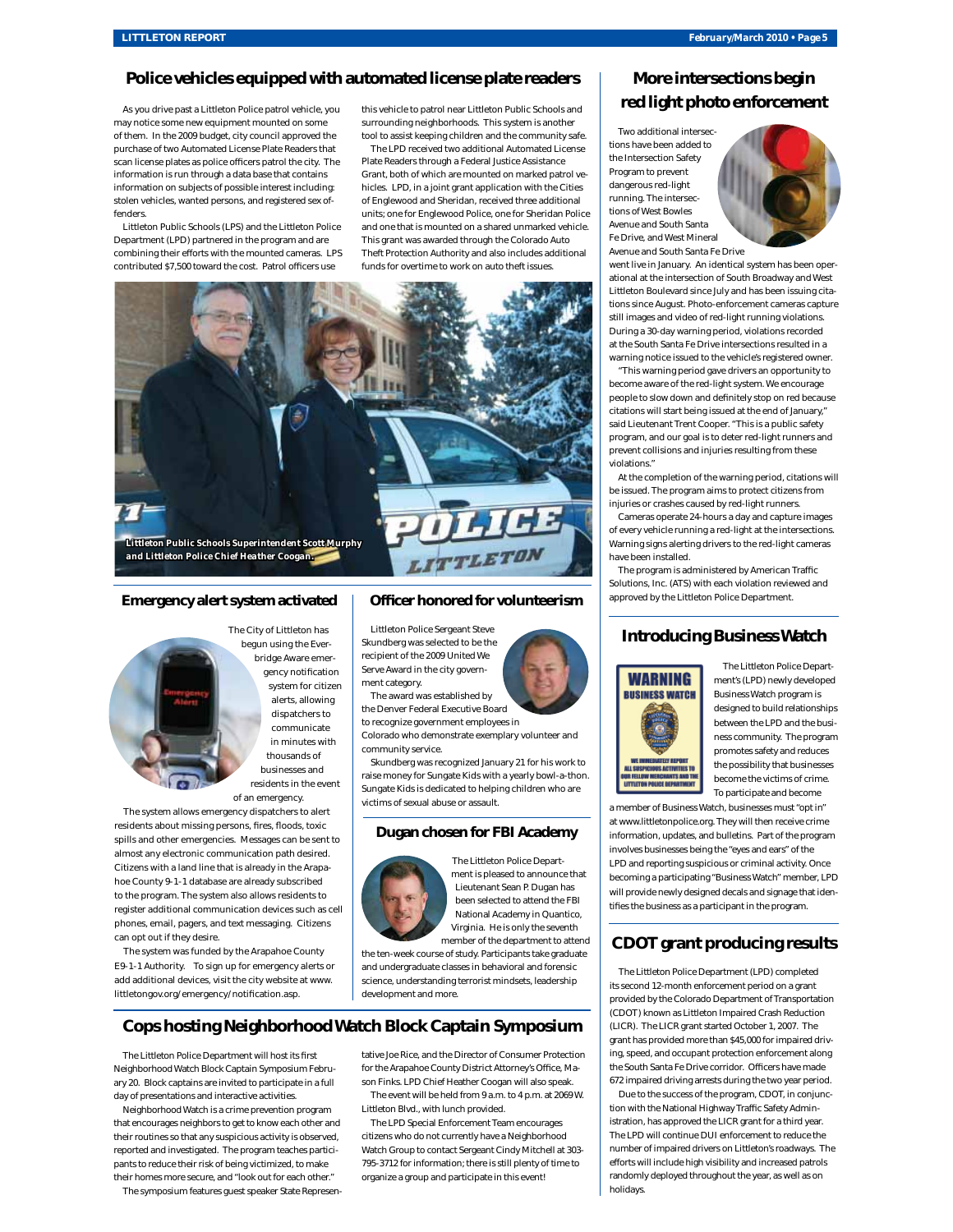# **Police vehicles equipped with automated license plate readers**

As you drive past a Littleton Police patrol vehicle, you may notice some new equipment mounted on some of them. In the 2009 budget, city council approved the purchase of two Automated License Plate Readers that scan license plates as police officers patrol the city. The information is run through a data base that contains information on subjects of possible interest including: stolen vehicles, wanted persons, and registered sex offenders.

Littleton Public Schools (LPS) and the Littleton Police Department (LPD) partnered in the program and are combining their efforts with the mounted cameras. LPS contributed \$7,500 toward the cost. Patrol officers use

this vehicle to patrol near Littleton Public Schools and surrounding neighborhoods. This system is another tool to assist keeping children and the community safe.

The LPD received two additional Automated License Plate Readers through a Federal Justice Assistance Grant, both of which are mounted on marked patrol vehicles. LPD, in a joint grant application with the Cities of Englewood and Sheridan, received three additional units; one for Englewood Police, one for Sheridan Police and one that is mounted on a shared unmarked vehicle. This grant was awarded through the Colorado Auto Theft Protection Authority and also includes additional funds for overtime to work on auto theft issues.



# **Emergency alert system activated** | Officer honored for volunteerism | approved by the Littleton Police Department.

The City of Littleton has begun using the Everbridge Aware emergency notification system for citizen alerts, allowing dispatchers to communicate in minutes with thousands of businesses and residents in the event

The system allows emergency dispatchers to alert residents about missing persons, fires, floods, toxic spills and other emergencies. Messages can be sent to almost any electronic communication path desired.

of an emergency.

Citizens with a land line that is already in the Arapahoe County 9-1-1 database are already subscribed to the program. The system also allows residents to register additional communication devices such as cell phones, email, pagers, and text messaging. Citizens can opt out if they desire.

The system was funded by the Arapahoe County E9-1-1 Authority. To sign up for emergency alerts or add additional devices, visit the city website at www. littletongov.org/emergency/notification.asp.

# **Cops hosting Neighborhood Watch Block Captain Symposium**

The Littleton Police Department will host its first Neighborhood Watch Block Captain Symposium February 20. Block captains are invited to participate in a full day of presentations and interactive activities.

Neighborhood Watch is a crime prevention program that encourages neighbors to get to know each other and their routines so that any suspicious activity is observed, reported and investigated. The program teaches participants to reduce their risk of being victimized, to make their homes more secure, and "look out for each other."

The symposium features guest speaker State Represen-

# **Officer honored for volunteerism**

Littleton Police Sergeant Steve Skundberg was selected to be the recipient of the 2009 United We Serve Award in the city government category.

The award was established by

the Denver Federal Executive Board to recognize government employees in

Colorado who demonstrate exemplary volunteer and community service.

Skundberg was recognized January 21 for his work to raise money for Sungate Kids with a yearly bowl-a-thon. Sungate Kids is dedicated to helping children who are victims of sexual abuse or assault.

#### **Dugan chosen for FBI Academy**



The Littleton Police Department is pleased to announce that Lieutenant Sean P. Dugan has been selected to attend the FBI National Academy in Quantico, Virginia. He is only the seventh member of the department to attend

the ten-week course of study. Participants take graduate and undergraduate classes in behavioral and forensic science, understanding terrorist mindsets, leadership development and more.

tative Joe Rice, and the Director of Consumer Protection for the Arapahoe County District Attorney's Office, Mason Finks. LPD Chief Heather Coogan will also speak. The event will be held from 9 a.m. to 4 p.m. at 2069 W.

The LPD Special Enforcement Team encourages citizens who do not currently have a Neighborhood Watch Group to contact Sergeant Cindy Mitchell at 303- 795-3712 for information; there is still plenty of time to organize a group and participate in this event!

Littleton Blvd., with lunch provided.

its second 12-month enforcement period on a grant provided by the Colorado Department of Transportation (CDOT) known as Littleton Impaired Crash Reduction (LICR). The LICR grant started October 1, 2007. The

Due to the success of the program, CDOT, in conjunction with the National Highway Traffic Safety Administration, has approved the LICR grant for a third year. The LPD will continue DUI enforcement to reduce the number of impaired drivers on Littleton's roadways. The efforts will include high visibility and increased patrols randomly deployed throughout the year, as well as on holidays.

# **More intersections begin red light photo enforcement**

Two additional intersections have been added to the Intersection Safety Program to prevent dangerous red-light running. The intersections of West Bowles Avenue and South Santa Fe Drive, and West Mineral Avenue and South Santa Fe Drive



went live in January. An identical system has been operational at the intersection of South Broadway and West Littleton Boulevard since July and has been issuing citations since August. Photo-enforcement cameras capture still images and video of red-light running violations. During a 30-day warning period, violations recorded at the South Santa Fe Drive intersections resulted in a warning notice issued to the vehicle's registered owner.

"This warning period gave drivers an opportunity to become aware of the red-light system. We encourage people to slow down and definitely stop on red because citations will start being issued at the end of January," said Lieutenant Trent Cooper. "This is a public safety program, and our goal is to deter red-light runners and prevent collisions and injuries resulting from these violations."

At the completion of the warning period, citations will be issued. The program aims to protect citizens from injuries or crashes caused by red-light runners.

Cameras operate 24-hours a day and capture images of every vehicle running a red-light at the intersections. Warning signs alerting drivers to the red-light cameras have been installed.

The program is administered by American Traffic Solutions, Inc. (ATS) with each violation reviewed and

## **Introducing Business Watch**



The Littleton Police Department's (LPD) newly developed Business Watch program is designed to build relationships between the LPD and the business community. The program promotes safety and reduces the possibility that businesses become the victims of crime. To participate and become

a member of Business Watch, businesses must "opt in" at www.littletonpolice.org. They will then receive crime information, updates, and bulletins. Part of the program involves businesses being the "eyes and ears" of the LPD and reporting suspicious or criminal activity. Once becoming a participating "Business Watch" member, LPD will provide newly designed decals and signage that identifies the business as a participant in the program.

## **CDOT grant producing results**

The Littleton Police Department (LPD) completed

grant has provided more than \$45,000 for impaired driving, speed, and occupant protection enforcement along the South Santa Fe Drive corridor. Officers have mad 672 impaired driving arrests during the two year period.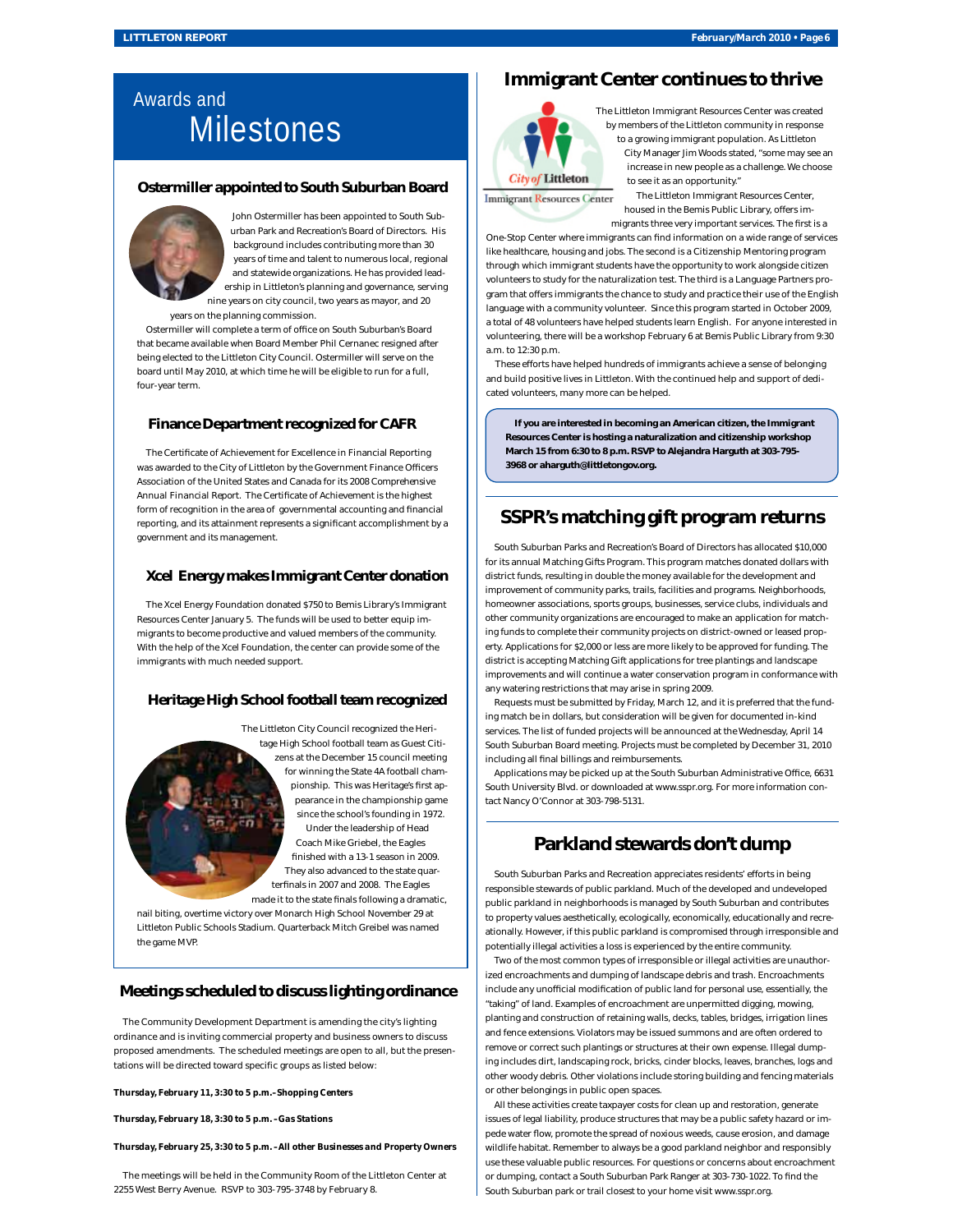# Awards and **Milestones**

## **Ostermiller appointed to South Suburban Board**



John Ostermiller has been appointed to South Suburban Park and Recreation's Board of Directors. His background includes contributing more than 30 years of time and talent to numerous local, regional and statewide organizations. He has provided leadership in Littleton's planning and governance, serving nine years on city council, two years as mayor, and 20 years on the planning commission.

Ostermiller will complete a term of office on South Suburban's Board that became available when Board Member Phil Cernanec resigned after being elected to the Littleton City Council. Ostermiller will serve on the board until May 2010, at which time he will be eligible to run for a full, four-year term.

## **Finance Department recognized for CAFR**

The Certificate of Achievement for Excellence in Financial Reporting was awarded to the City of Littleton by the Government Finance Officers Association of the United States and Canada for its *2008 Comprehensive*  Annual Financial Report. The Certificate of Achievement is the highest form of recognition in the area of governmental accounting and financial reporting, and its attainment represents a significant accomplishment by a government and its management.

#### **Xcel Energy makes Immigrant Center donation**

The Xcel Energy Foundation donated \$750 to Bemis Library's Immigrant Resources Center January 5. The funds will be used to better equip immigrants to become productive and valued members of the community. With the help of the Xcel Foundation, the center can provide some of the immigrants with much needed support.

## **Heritage High School football team recognized**

The Littleton City Council recognized the Heritage High School football team as Guest Citizens at the December 15 council meeting for winning the State 4A football championship. This was Heritage's first appearance in the championship game since the school's founding in 1972. Under the leadership of Head Coach Mike Griebel, the Eagles finished with a 13-1 season in 2009. They also advanced to the state quarterfinals in 2007 and 2008. The Eagles made it to the state finals following a dramatic,

nail biting, overtime victory over Monarch High School November 29 at Littleton Public Schools Stadium. Quarterback Mitch Greibel was named the game MVP.

## **Meetings scheduled to discuss lighting ordinance**

The Community Development Department is amending the city's lighting ordinance and is inviting commercial property and business owners to discuss proposed amendments. The scheduled meetings are open to all, but the presentations will be directed toward specific groups as listed below:

*Thursday, February 11, 3:30 to 5 p.m.–Shopping Centers* 

*Thursday, February 18, 3:30 to 5 p.m. –Gas Stations* 

#### *Thursday, February 25, 3:30 to 5 p.m. –All other Businesses and Property Owners*

The meetings will be held in the Community Room of the Littleton Center at 2255 West Berry Avenue. RSVP to 303-795-3748 by February 8.

# **Immigrant Center continues to thrive**



The Littleton Immigrant Resources Center was created by members of the Littleton community in response to a growing immigrant population. As Littleton City Manager Jim Woods stated, "some may see an increase in new people as a challenge. We choose to see it as an opportunity."

**Immigrant Resources Center** 

The Littleton Immigrant Resources Center, housed in the Bemis Public Library, offers immigrants three very important services. The first is a

One-Stop Center where immigrants can find information on a wide range of services like healthcare, housing and jobs. The second is a Citizenship Mentoring program through which immigrant students have the opportunity to work alongside citizen volunteers to study for the naturalization test. The third is a Language Partners program that offers immigrants the chance to study and practice their use of the English language with a community volunteer. Since this program started in October 2009, a total of 48 volunteers have helped students learn English. For anyone interested in volunteering, there will be a workshop February 6 at Bemis Public Library from 9:30 a.m. to 12:30 p.m.

These efforts have helped hundreds of immigrants achieve a sense of belonging and build positive lives in Littleton. With the continued help and support of dedicated volunteers, many more can be helped.

**If you are interested in becoming an American citizen, the Immigrant Resources Center is hosting a naturalization and citizenship workshop March 15 from 6:30 to 8 p.m. RSVP to Alejandra Harguth at 303-795- 3968 or aharguth@littletongov.org.** 

# **SSPR's matching gift program returns**

South Suburban Parks and Recreation's Board of Directors has allocated \$10,000 for its annual Matching Gifts Program. This program matches donated dollars with district funds, resulting in double the money available for the development and improvement of community parks, trails, facilities and programs. Neighborhoods, homeowner associations, sports groups, businesses, service clubs, individuals and other community organizations are encouraged to make an application for matching funds to complete their community projects on district-owned or leased property. Applications for \$2,000 or less are more likely to be approved for funding. The district is accepting Matching Gift applications for tree plantings and landscape improvements and will continue a water conservation program in conformance with any watering restrictions that may arise in spring 2009.

Requests must be submitted by Friday, March 12, and it is preferred that the funding match be in dollars, but consideration will be given for documented in-kind services. The list of funded projects will be announced at the Wednesday, April 14 South Suburban Board meeting. Projects must be completed by December 31, 2010 including all final billings and reimbursements.

Applications may be picked up at the South Suburban Administrative Office, 6631 South University Blvd. or downloaded at www.sspr.org. For more information contact Nancy O'Connor at 303-798-5131.

# **Parkland stewards don't dump**

South Suburban Parks and Recreation appreciates residents' efforts in being responsible stewards of public parkland. Much of the developed and undeveloped public parkland in neighborhoods is managed by South Suburban and contributes to property values aesthetically, ecologically, economically, educationally and recreationally. However, if this public parkland is compromised through irresponsible and potentially illegal activities a loss is experienced by the entire community.

Two of the most common types of irresponsible or illegal activities are unauthorized encroachments and dumping of landscape debris and trash. Encroachments include any unofficial modification of public land for personal use, essentially, the "taking" of land. Examples of encroachment are unpermitted digging, mowing, planting and construction of retaining walls, decks, tables, bridges, irrigation lines and fence extensions. Violators may be issued summons and are often ordered to remove or correct such plantings or structures at their own expense. Illegal dumping includes dirt, landscaping rock, bricks, cinder blocks, leaves, branches, logs and other woody debris. Other violations include storing building and fencing materials or other belongings in public open spaces.

All these activities create taxpayer costs for clean up and restoration, generate issues of legal liability, produce structures that may be a public safety hazard or impede water flow, promote the spread of noxious weeds, cause erosion, and damage wildlife habitat. Remember to always be a good parkland neighbor and responsibly use these valuable public resources. For questions or concerns about encroachment or dumping, contact a South Suburban Park Ranger at 303-730-1022. To find the South Suburban park or trail closest to your home visit www.sspr.org.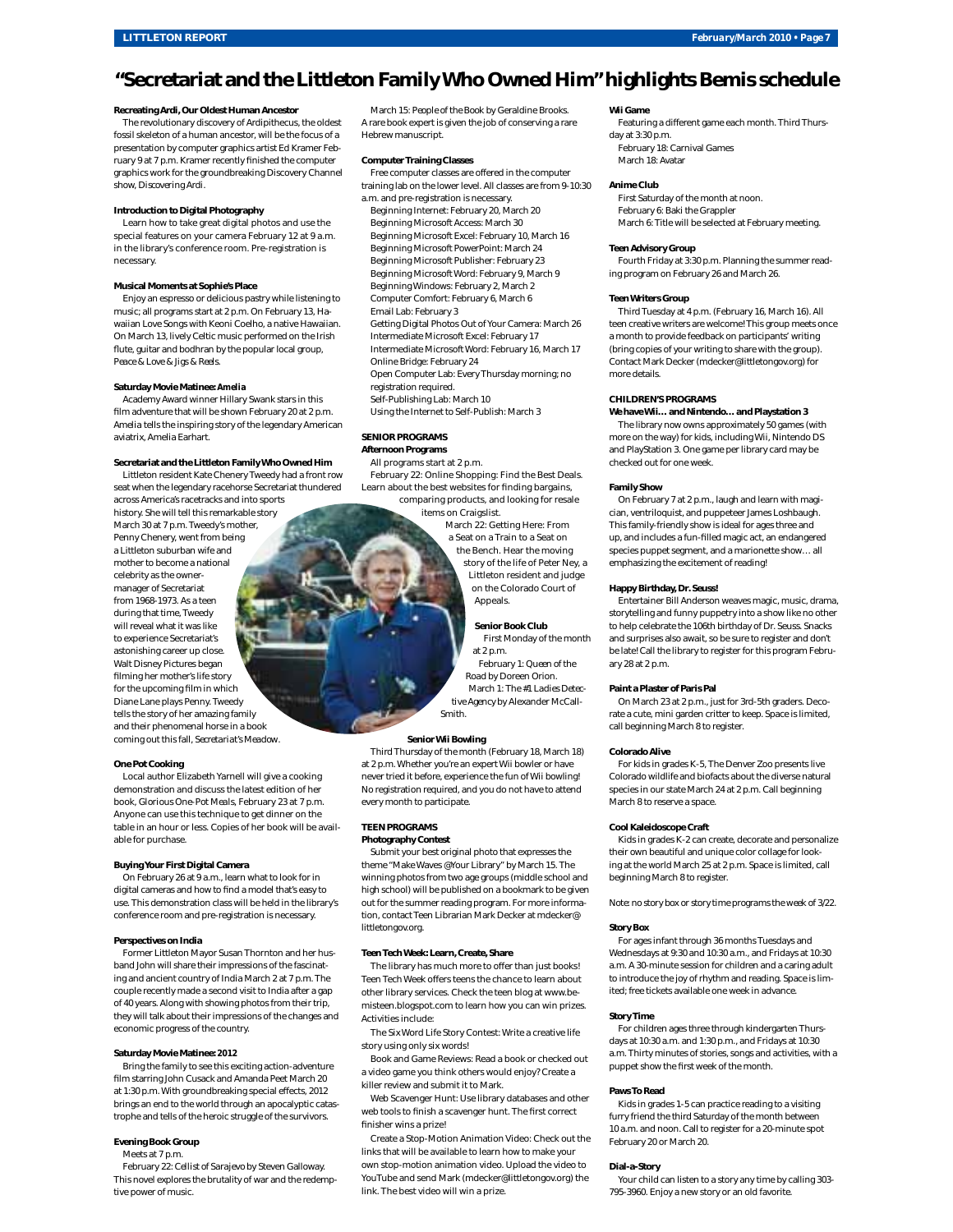# **"Secretariat and the Littleton Family Who Owned Him" highlights Bemis schedule**

#### **Recreating Ardi, Our Oldest Human Ancestor**

The revolutionary discovery of Ardipithecus, the oldest fossil skeleton of a human ancestor, will be the focus of a presentation by computer graphics artist Ed Kramer February 9 at 7 p.m. Kramer recently finished the computer graphics work for the groundbreaking Discovery Channel show, *Discovering Ardi*.

#### **Introduction to Digital Photography**

Learn how to take great digital photos and use the special features on your camera February 12 at 9 a.m. in the library's conference room. Pre-registration is necessary.

#### **Musical Moments at Sophie's Place**

Enjoy an espresso or delicious pastry while listening to music; all programs start at 2 p.m. On February 13, Hawaiian Love Songs with Keoni Coelho, a native Hawaiian. On March 13, lively Celtic music performed on the Irish flute, guitar and bodhran by the popular local group, *Peace & Love & Jigs & Reels*.

#### **Saturday Movie Matinee:** *Amelia*

Academy Award winner Hillary Swank stars in this film adventure that will be shown February 20 at 2 p.m. *Amelia* tells the inspiring story of the legendary American aviatrix, Amelia Earhart.

#### **Secretariat and the Littleton Family Who Owned Him**

Littleton resident Kate Chenery Tweedy had a front row seat when the legendary racehorse Secretariat thundered across America's racetracks and into sports

history. She will tell this remarkable story March 30 at 7 p.m. Tweedy's mother, Penny Chenery, went from being a Littleton suburban wife and mother to become a national celebrity as the ownermanager of Secretariat from 1968-1973. As a teen during that time, Tweedy will reveal what it was like to experience Secretariat's astonishing career up close. Walt Disney Pictures began filming her mother's life story for the upcoming film in which Diane Lane plays Penny. Tweedy tells the story of her amazing family and their phenomenal horse in a book coming out this fall, *Secretariat's Meadow*.

#### **One Pot Cooking**

Local author Elizabeth Yarnell will give a cooking demonstration and discuss the latest edition of her book, *Glorious One-Pot Meals*, February 23 at 7 p.m. Anyone can use this technique to get dinner on the table in an hour or less. Copies of her book will be available for purchase.

#### **Buying Your First Digital Camera**

On February 26 at 9 a.m., learn what to look for in digital cameras and how to find a model that's easy to use. This demonstration class will be held in the library's conference room and pre-registration is necessary.

#### **Perspectives on India**

Former Littleton Mayor Susan Thornton and her husband John will share their impressions of the fascinating and ancient country of India March 2 at 7 p.m. The couple recently made a second visit to India after a gap of 40 years. Along with showing photos from their trip, they will talk about their impressions of the changes and economic progress of the country.

#### **Saturday Movie Matinee:** *2012*

Bring the family to see this exciting action-adventure film starring John Cusack and Amanda Peet March 20 at 1:30 p.m. With groundbreaking special effects, *2012* brings an end to the world through an apocalyptic catastrophe and tells of the heroic struggle of the survivors.

#### **Evening Book Group**

#### Meets at 7 p.m.

February 22: *Cellist of Sarajevo* by Steven Galloway. This novel explores the brutality of war and the redemptive power of music.

March 15: *People of the Book* by Geraldine Brooks. A rare book expert is given the job of conserving a rare Hebrew manuscript.

#### **Computer Training Classes**

Free computer classes are offered in the computer training lab on the lower level. All classes are from 9-10:30

a.m. and pre-registration is necessary. Beginning Internet: February 20, March 20 Beginning Microsoft Access: March 30 Beginning Microsoft Excel: February 10, March 16 Beginning Microsoft PowerPoint: March 24 Beginning Microsoft Publisher: February 23 Beginning Microsoft Word: February 9, March 9 Beginning Windows: February 2, March 2 Computer Comfort: February 6, March 6 Email Lab: February 3 Getting Digital Photos Out of Your Camera: March 26 Intermediate Microsoft Excel: February 17 Intermediate Microsoft Word: February 16, March 17 Online Bridge: February 24 Open Computer Lab: Every Thursday morning; no registration required. Self-Publishing Lab: March 10

Using the Internet to Self-Publish: March 3

## **SENIOR PROGRAMS**

**Afternoon Programs** All programs start at 2 p.m.

February 22: Online Shopping: Find the Best Deals. Learn about the best websites for finding bargains,

comparing products, and looking for resale items on Craigslist. March 22: Getting Here: From a Seat on a Train to a Seat on the Bench. Hear the moving story of the life of Peter Ney, a Littleton resident and judge on the Colorado Court of Appeals.

#### **Senior Book Club**

First Monday of the month at 2 p.m. February 1: *Queen of the Road* by Doreen Orion. March 1: *The #1 Ladies Detective Agency* by Alexander McCall-Smith.

#### **Senior Wii Bowling**

Third Thursday of the month (February 18, March 18) at 2 p.m. Whether you're an expert Wii bowler or have never tried it before, experience the fun of Wii bowling! No registration required, and you do not have to attend every month to participate.

### **TEEN PROGRAMS**

**Photography Contest** Submit your best original photo that expresses the theme "Make Waves @Your Library" by March 15. The winning photos from two age groups (middle school and high school) will be published on a bookmark to be given out for the summer reading program. For more information, contact Teen Librarian Mark Decker at mdecker@ littletongov.org.

#### **Teen Tech Week: Learn, Create, Share**

The library has much more to offer than just books! Teen Tech Week offers teens the chance to learn about other library services. Check the teen blog at www.bemisteen.blogspot.com to learn how you can win prizes. Activities include:

The Six Word Life Story Contest: Write a creative life story using only six words!

Book and Game Reviews: Read a book or checked out a video game you think others would enjoy? Create a killer review and submit it to Mark.

Web Scavenger Hunt: Use library databases and other web tools to finish a scavenger hunt. The first correct finisher wins a prize!

Create a Stop-Motion Animation Video: Check out the links that will be available to learn how to make your own stop-motion animation video. Upload the video to YouTube and send Mark (mdecker@littletongov.org) the link. The best video will win a prize.

#### **Wii Game**

Featuring a different game each month. Third Thursday at 3:30 p.m. February 18: Carnival Games

March 18: Avatar

#### **Anime Club**

First Saturday of the month at noon. February 6: Baki the Grappler March 6: Title will be selected at February meeting.

#### **Teen Advisory Group**

Fourth Friday at 3:30 p.m. Planning the summer reading program on February 26 and March 26.

#### **Teen Writers Group**

Third Tuesday at 4 p.m. (February 16, March 16). All teen creative writers are welcome! This group meets once a month to provide feedback on participants' writing (bring copies of your writing to share with the group). Contact Mark Decker (mdecker@littletongov.org) for more details.

#### **CHILDREN'S PROGRAMS**

**We have Wii… and Nintendo… and Playstation 3** The library now owns approximately 50 games (with more on the way) for kids, including Wii, Nintendo DS and PlayStation 3. One game per library card may be

### checked out for one week.

#### **Family Show**

On February 7 at 2 p.m., laugh and learn with magician, ventriloquist, and puppeteer James Loshbaugh. This family-friendly show is ideal for ages three and up, and includes a fun-filled magic act, an endangered species puppet segment, and a marionette show… all emphasizing the excitement of reading!

#### **Happy Birthday, Dr. Seuss!**

Entertainer Bill Anderson weaves magic, music, drama, storytelling and funny puppetry into a show like no other to help celebrate the 106th birthday of Dr. Seuss. Snacks and surprises also await, so be sure to register and don't be late! Call the library to register for this program February 28 at 2 p.m.

#### **Paint a Plaster of Paris Pal**

On March 23 at 2 p.m., just for 3rd-5th graders. Decorate a cute, mini garden critter to keep. Space is limited, call beginning March 8 to register.

#### **Colorado Alive**

For kids in grades K-5, The Denver Zoo presents live Colorado wildlife and biofacts about the diverse natural species in our state March 24 at 2 p.m. Call beginning March 8 to reserve a space.

#### **Cool Kaleidoscope Craft**

Kids in grades K-2 can create, decorate and personalize their own beautiful and unique color collage for looking at the world March 25 at 2 p.m. Space is limited, call beginning March 8 to register.

*Note: no story box or story time programs the week of 3/22.*

#### **Story Box**

For ages infant through 36 months Tuesdays and Wednesdays at 9:30 and 10:30 a.m., and Fridays at 10:30 a.m. A 30-minute session for children and a caring adult to introduce the joy of rhythm and reading. Space is limited; free tickets available one week in advance.

#### **Story Time**

For children ages three through kindergarten Thursdays at 10:30 a.m. and 1:30 p.m., and Fridays at 10:30 a.m. Thirty minutes of stories, songs and activities, with a puppet show the first week of the month.

#### **Paws To Read**

Kids in grades 1-5 can practice reading to a visiting furry friend the third Saturday of the month between 10 a.m. and noon. Call to register for a 20-minute spot February 20 or March 20.

#### **Dial-a-Story**

Your child can listen to a story any time by calling 303- 795-3960. Enjoy a new story or an old favorite.